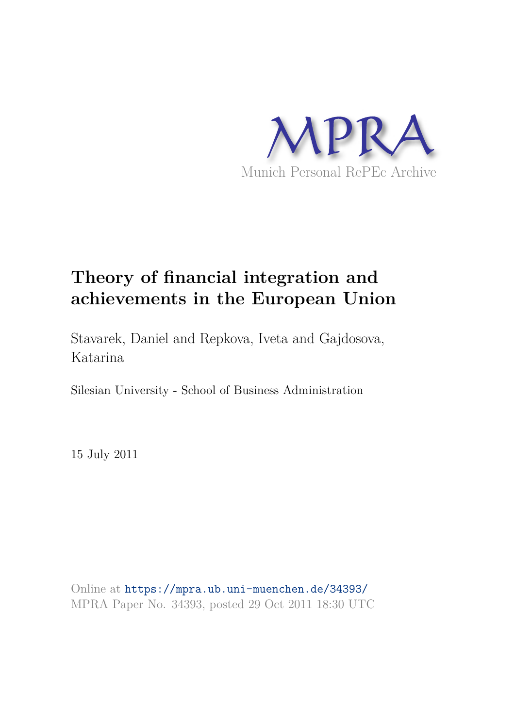

# **Theory of financial integration and achievements in the European Union**

Stavarek, Daniel and Repkova, Iveta and Gajdosova, Katarina

Silesian University - School of Business Administration

15 July 2011

Online at https://mpra.ub.uni-muenchen.de/34393/ MPRA Paper No. 34393, posted 29 Oct 2011 18:30 UTC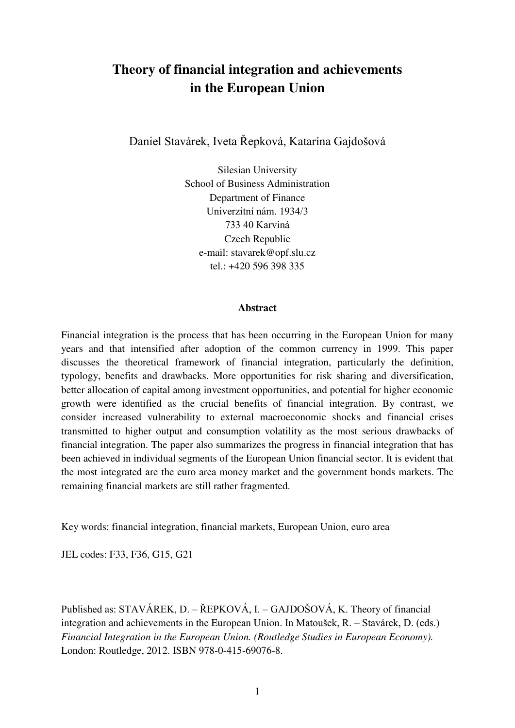## **Theory of financial integration and achievements in the European Union**

Daniel Stavárek, Iveta Řepková, Katarína Gajdošová

Silesian University School of Business Administration Department of Finance Univerzitní nám. 1934/3 733 40 Karviná Czech Republic e-mail: stavarek@opf.slu.cz tel.: +420 596 398 335

#### **Abstract**

Financial integration is the process that has been occurring in the European Union for many years and that intensified after adoption of the common currency in 1999. This paper discusses the theoretical framework of financial integration, particularly the definition, typology, benefits and drawbacks. More opportunities for risk sharing and diversification, better allocation of capital among investment opportunities, and potential for higher economic growth were identified as the crucial benefits of financial integration. By contrast, we consider increased vulnerability to external macroeconomic shocks and financial crises transmitted to higher output and consumption volatility as the most serious drawbacks of financial integration. The paper also summarizes the progress in financial integration that has been achieved in individual segments of the European Union financial sector. It is evident that the most integrated are the euro area money market and the government bonds markets. The remaining financial markets are still rather fragmented.

Key words: financial integration, financial markets, European Union, euro area

JEL codes: F33, F36, G15, G21

Published as: STAVÁREK, D. – ŘEPKOVÁ, I. – GAJDOŠOVÁ, K. Theory of financial integration and achievements in the European Union. In Matoušek, R. – Stavárek, D. (eds.) *Financial Integration in the European Union. (Routledge Studies in European Economy).*  London: Routledge, 2012. ISBN 978-0-415-69076-8.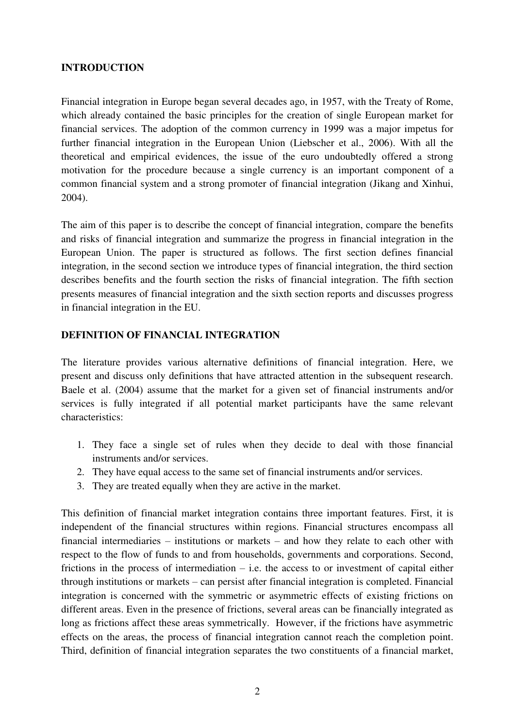## **INTRODUCTION**

Financial integration in Europe began several decades ago, in 1957, with the Treaty of Rome, which already contained the basic principles for the creation of single European market for financial services. The adoption of the common currency in 1999 was a major impetus for further financial integration in the European Union (Liebscher et al., 2006). With all the theoretical and empirical evidences, the issue of the euro undoubtedly offered a strong motivation for the procedure because a single currency is an important component of a common financial system and a strong promoter of financial integration (Jikang and Xinhui, 2004).

The aim of this paper is to describe the concept of financial integration, compare the benefits and risks of financial integration and summarize the progress in financial integration in the European Union. The paper is structured as follows. The first section defines financial integration, in the second section we introduce types of financial integration, the third section describes benefits and the fourth section the risks of financial integration. The fifth section presents measures of financial integration and the sixth section reports and discusses progress in financial integration in the EU.

## **DEFINITION OF FINANCIAL INTEGRATION**

The literature provides various alternative definitions of financial integration. Here, we present and discuss only definitions that have attracted attention in the subsequent research. Baele et al. (2004) assume that the market for a given set of financial instruments and/or services is fully integrated if all potential market participants have the same relevant characteristics:

- 1. They face a single set of rules when they decide to deal with those financial instruments and/or services.
- 2. They have equal access to the same set of financial instruments and/or services.
- 3. They are treated equally when they are active in the market.

This definition of financial market integration contains three important features. First, it is independent of the financial structures within regions. Financial structures encompass all financial intermediaries – institutions or markets – and how they relate to each other with respect to the flow of funds to and from households, governments and corporations. Second, frictions in the process of intermediation – i.e. the access to or investment of capital either through institutions or markets – can persist after financial integration is completed. Financial integration is concerned with the symmetric or asymmetric effects of existing frictions on different areas. Even in the presence of frictions, several areas can be financially integrated as long as frictions affect these areas symmetrically. However, if the frictions have asymmetric effects on the areas, the process of financial integration cannot reach the completion point. Third, definition of financial integration separates the two constituents of a financial market,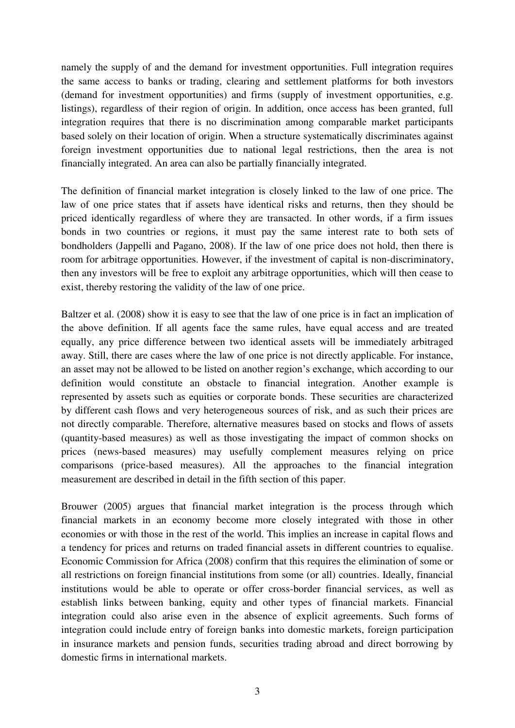namely the supply of and the demand for investment opportunities. Full integration requires the same access to banks or trading, clearing and settlement platforms for both investors (demand for investment opportunities) and firms (supply of investment opportunities, e.g. listings), regardless of their region of origin. In addition, once access has been granted, full integration requires that there is no discrimination among comparable market participants based solely on their location of origin. When a structure systematically discriminates against foreign investment opportunities due to national legal restrictions, then the area is not financially integrated. An area can also be partially financially integrated.

The definition of financial market integration is closely linked to the law of one price. The law of one price states that if assets have identical risks and returns, then they should be priced identically regardless of where they are transacted. In other words, if a firm issues bonds in two countries or regions, it must pay the same interest rate to both sets of bondholders (Jappelli and Pagano, 2008). If the law of one price does not hold, then there is room for arbitrage opportunities. However, if the investment of capital is non-discriminatory, then any investors will be free to exploit any arbitrage opportunities, which will then cease to exist, thereby restoring the validity of the law of one price.

Baltzer et al. (2008) show it is easy to see that the law of one price is in fact an implication of the above definition. If all agents face the same rules, have equal access and are treated equally, any price difference between two identical assets will be immediately arbitraged away. Still, there are cases where the law of one price is not directly applicable. For instance, an asset may not be allowed to be listed on another region"s exchange, which according to our definition would constitute an obstacle to financial integration. Another example is represented by assets such as equities or corporate bonds. These securities are characterized by different cash flows and very heterogeneous sources of risk, and as such their prices are not directly comparable. Therefore, alternative measures based on stocks and flows of assets (quantity-based measures) as well as those investigating the impact of common shocks on prices (news-based measures) may usefully complement measures relying on price comparisons (price-based measures). All the approaches to the financial integration measurement are described in detail in the fifth section of this paper.

Brouwer (2005) argues that financial market integration is the process through which financial markets in an economy become more closely integrated with those in other economies or with those in the rest of the world. This implies an increase in capital flows and a tendency for prices and returns on traded financial assets in different countries to equalise. Economic Commission for Africa (2008) confirm that this requires the elimination of some or all restrictions on foreign financial institutions from some (or all) countries. Ideally, financial institutions would be able to operate or offer cross-border financial services, as well as establish links between banking, equity and other types of financial markets. Financial integration could also arise even in the absence of explicit agreements. Such forms of integration could include entry of foreign banks into domestic markets, foreign participation in insurance markets and pension funds, securities trading abroad and direct borrowing by domestic firms in international markets.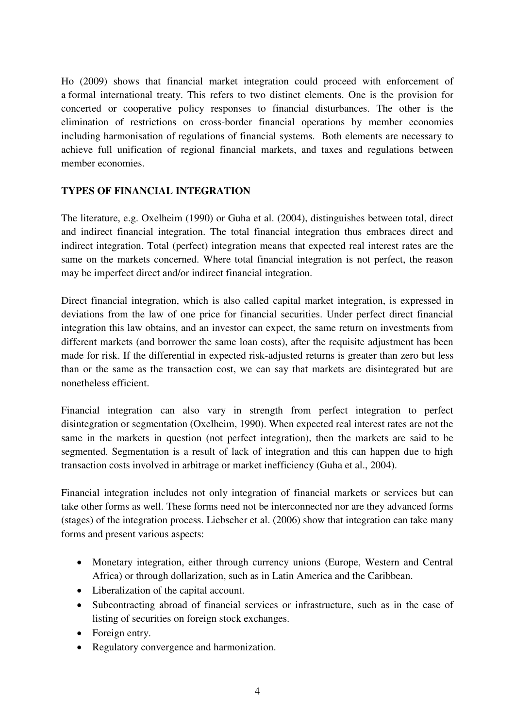Ho (2009) shows that financial market integration could proceed with enforcement of a formal international treaty. This refers to two distinct elements. One is the provision for concerted or cooperative policy responses to financial disturbances. The other is the elimination of restrictions on cross-border financial operations by member economies including harmonisation of regulations of financial systems. Both elements are necessary to achieve full unification of regional financial markets, and taxes and regulations between member economies.

## **TYPES OF FINANCIAL INTEGRATION**

The literature, e.g. Oxelheim (1990) or Guha et al. (2004), distinguishes between total, direct and indirect financial integration. The total financial integration thus embraces direct and indirect integration. Total (perfect) integration means that expected real interest rates are the same on the markets concerned. Where total financial integration is not perfect, the reason may be imperfect direct and/or indirect financial integration.

Direct financial integration, which is also called capital market integration, is expressed in deviations from the law of one price for financial securities. Under perfect direct financial integration this law obtains, and an investor can expect, the same return on investments from different markets (and borrower the same loan costs), after the requisite adjustment has been made for risk. If the differential in expected risk-adjusted returns is greater than zero but less than or the same as the transaction cost, we can say that markets are disintegrated but are nonetheless efficient.

Financial integration can also vary in strength from perfect integration to perfect disintegration or segmentation (Oxelheim, 1990). When expected real interest rates are not the same in the markets in question (not perfect integration), then the markets are said to be segmented. Segmentation is a result of lack of integration and this can happen due to high transaction costs involved in arbitrage or market inefficiency (Guha et al., 2004).

Financial integration includes not only integration of financial markets or services but can take other forms as well. These forms need not be interconnected nor are they advanced forms (stages) of the integration process. Liebscher et al. (2006) show that integration can take many forms and present various aspects:

- Monetary integration, either through currency unions (Europe, Western and Central Africa) or through dollarization, such as in Latin America and the Caribbean.
- Liberalization of the capital account.
- Subcontracting abroad of financial services or infrastructure, such as in the case of listing of securities on foreign stock exchanges.
- Foreign entry.
- Regulatory convergence and harmonization.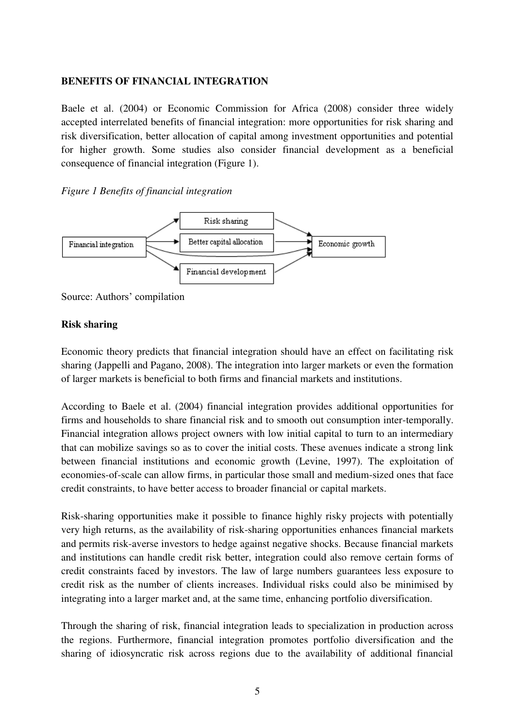## **BENEFITS OF FINANCIAL INTEGRATION**

Baele et al. (2004) or Economic Commission for Africa (2008) consider three widely accepted interrelated benefits of financial integration: more opportunities for risk sharing and risk diversification, better allocation of capital among investment opportunities and potential for higher growth. Some studies also consider financial development as a beneficial consequence of financial integration (Figure 1).

#### *Figure 1 Benefits of financial integration*



Source: Authors" compilation

## **Risk sharing**

Economic theory predicts that financial integration should have an effect on facilitating risk sharing (Jappelli and Pagano, 2008). The integration into larger markets or even the formation of larger markets is beneficial to both firms and financial markets and institutions.

According to Baele et al. (2004) financial integration provides additional opportunities for firms and households to share financial risk and to smooth out consumption inter-temporally. Financial integration allows project owners with low initial capital to turn to an intermediary that can mobilize savings so as to cover the initial costs. These avenues indicate a strong link between financial institutions and economic growth (Levine, 1997). The exploitation of economies-of-scale can allow firms, in particular those small and medium-sized ones that face credit constraints, to have better access to broader financial or capital markets.

Risk-sharing opportunities make it possible to finance highly risky projects with potentially very high returns, as the availability of risk-sharing opportunities enhances financial markets and permits risk-averse investors to hedge against negative shocks. Because financial markets and institutions can handle credit risk better, integration could also remove certain forms of credit constraints faced by investors. The law of large numbers guarantees less exposure to credit risk as the number of clients increases. Individual risks could also be minimised by integrating into a larger market and, at the same time, enhancing portfolio diversification.

Through the sharing of risk, financial integration leads to specialization in production across the regions. Furthermore, financial integration promotes portfolio diversification and the sharing of idiosyncratic risk across regions due to the availability of additional financial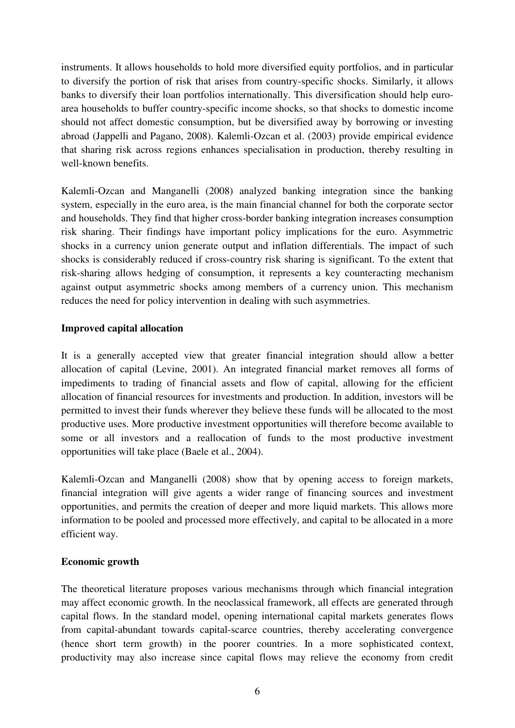instruments. It allows households to hold more diversified equity portfolios, and in particular to diversify the portion of risk that arises from country-specific shocks. Similarly, it allows banks to diversify their loan portfolios internationally. This diversification should help euroarea households to buffer country-specific income shocks, so that shocks to domestic income should not affect domestic consumption, but be diversified away by borrowing or investing abroad (Jappelli and Pagano, 2008). Kalemli-Ozcan et al. (2003) provide empirical evidence that sharing risk across regions enhances specialisation in production, thereby resulting in well-known benefits.

Kalemli-Ozcan and Manganelli (2008) analyzed banking integration since the banking system, especially in the euro area, is the main financial channel for both the corporate sector and households. They find that higher cross-border banking integration increases consumption risk sharing. Their findings have important policy implications for the euro. Asymmetric shocks in a currency union generate output and inflation differentials. The impact of such shocks is considerably reduced if cross-country risk sharing is significant. To the extent that risk-sharing allows hedging of consumption, it represents a key counteracting mechanism against output asymmetric shocks among members of a currency union. This mechanism reduces the need for policy intervention in dealing with such asymmetries.

## **Improved capital allocation**

It is a generally accepted view that greater financial integration should allow a better allocation of capital (Levine, 2001). An integrated financial market removes all forms of impediments to trading of financial assets and flow of capital, allowing for the efficient allocation of financial resources for investments and production. In addition, investors will be permitted to invest their funds wherever they believe these funds will be allocated to the most productive uses. More productive investment opportunities will therefore become available to some or all investors and a reallocation of funds to the most productive investment opportunities will take place (Baele et al., 2004).

Kalemli-Ozcan and Manganelli (2008) show that by opening access to foreign markets, financial integration will give agents a wider range of financing sources and investment opportunities, and permits the creation of deeper and more liquid markets. This allows more information to be pooled and processed more effectively, and capital to be allocated in a more efficient way.

## **Economic growth**

The theoretical literature proposes various mechanisms through which financial integration may affect economic growth. In the neoclassical framework, all effects are generated through capital flows. In the standard model, opening international capital markets generates flows from capital-abundant towards capital-scarce countries, thereby accelerating convergence (hence short term growth) in the poorer countries. In a more sophisticated context, productivity may also increase since capital flows may relieve the economy from credit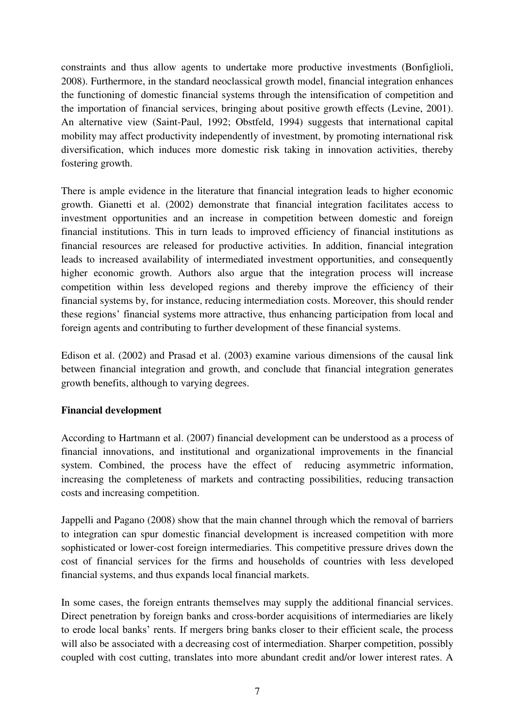constraints and thus allow agents to undertake more productive investments (Bonfiglioli, 2008). Furthermore, in the standard neoclassical growth model, financial integration enhances the functioning of domestic financial systems through the intensification of competition and the importation of financial services, bringing about positive growth effects (Levine, 2001). An alternative view (Saint-Paul, 1992; Obstfeld, 1994) suggests that international capital mobility may affect productivity independently of investment, by promoting international risk diversification, which induces more domestic risk taking in innovation activities, thereby fostering growth.

There is ample evidence in the literature that financial integration leads to higher economic growth. Gianetti et al. (2002) demonstrate that financial integration facilitates access to investment opportunities and an increase in competition between domestic and foreign financial institutions. This in turn leads to improved efficiency of financial institutions as financial resources are released for productive activities. In addition, financial integration leads to increased availability of intermediated investment opportunities, and consequently higher economic growth. Authors also argue that the integration process will increase competition within less developed regions and thereby improve the efficiency of their financial systems by, for instance, reducing intermediation costs. Moreover, this should render these regions" financial systems more attractive, thus enhancing participation from local and foreign agents and contributing to further development of these financial systems.

Edison et al. (2002) and Prasad et al. (2003) examine various dimensions of the causal link between financial integration and growth, and conclude that financial integration generates growth benefits, although to varying degrees.

## **Financial development**

According to Hartmann et al. (2007) financial development can be understood as a process of financial innovations, and institutional and organizational improvements in the financial system. Combined, the process have the effect of reducing asymmetric information, increasing the completeness of markets and contracting possibilities, reducing transaction costs and increasing competition.

Jappelli and Pagano (2008) show that the main channel through which the removal of barriers to integration can spur domestic financial development is increased competition with more sophisticated or lower-cost foreign intermediaries. This competitive pressure drives down the cost of financial services for the firms and households of countries with less developed financial systems, and thus expands local financial markets.

In some cases, the foreign entrants themselves may supply the additional financial services. Direct penetration by foreign banks and cross-border acquisitions of intermediaries are likely to erode local banks" rents. If mergers bring banks closer to their efficient scale, the process will also be associated with a decreasing cost of intermediation. Sharper competition, possibly coupled with cost cutting, translates into more abundant credit and/or lower interest rates. A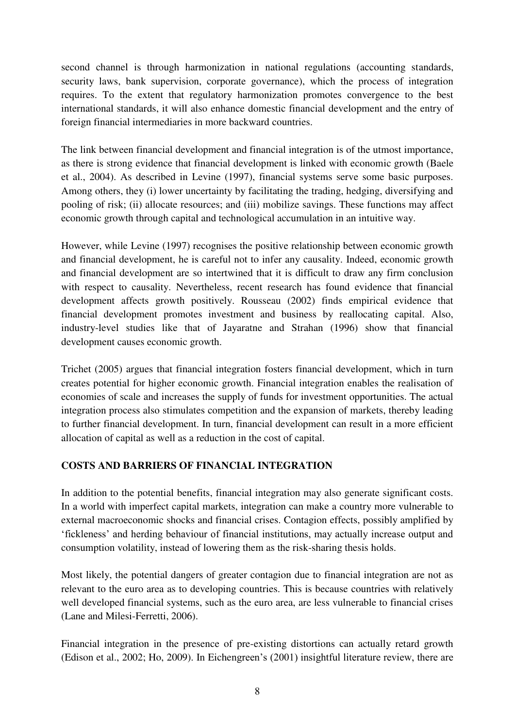second channel is through harmonization in national regulations (accounting standards, security laws, bank supervision, corporate governance), which the process of integration requires. To the extent that regulatory harmonization promotes convergence to the best international standards, it will also enhance domestic financial development and the entry of foreign financial intermediaries in more backward countries.

The link between financial development and financial integration is of the utmost importance, as there is strong evidence that financial development is linked with economic growth (Baele et al., 2004). As described in Levine (1997), financial systems serve some basic purposes. Among others, they (i) lower uncertainty by facilitating the trading, hedging, diversifying and pooling of risk; (ii) allocate resources; and (iii) mobilize savings. These functions may affect economic growth through capital and technological accumulation in an intuitive way.

However, while Levine (1997) recognises the positive relationship between economic growth and financial development, he is careful not to infer any causality. Indeed, economic growth and financial development are so intertwined that it is difficult to draw any firm conclusion with respect to causality. Nevertheless, recent research has found evidence that financial development affects growth positively. Rousseau (2002) finds empirical evidence that financial development promotes investment and business by reallocating capital. Also, industry-level studies like that of Jayaratne and Strahan (1996) show that financial development causes economic growth.

Trichet (2005) argues that financial integration fosters financial development, which in turn creates potential for higher economic growth. Financial integration enables the realisation of economies of scale and increases the supply of funds for investment opportunities. The actual integration process also stimulates competition and the expansion of markets, thereby leading to further financial development. In turn, financial development can result in a more efficient allocation of capital as well as a reduction in the cost of capital.

## **COSTS AND BARRIERS OF FINANCIAL INTEGRATION**

In addition to the potential benefits, financial integration may also generate significant costs. In a world with imperfect capital markets, integration can make a country more vulnerable to external macroeconomic shocks and financial crises. Contagion effects, possibly amplified by "fickleness" and herding behaviour of financial institutions, may actually increase output and consumption volatility, instead of lowering them as the risk-sharing thesis holds.

Most likely, the potential dangers of greater contagion due to financial integration are not as relevant to the euro area as to developing countries. This is because countries with relatively well developed financial systems, such as the euro area, are less vulnerable to financial crises (Lane and Milesi-Ferretti, 2006).

Financial integration in the presence of pre-existing distortions can actually retard growth (Edison et al., 2002; Ho, 2009). In Eichengreen"s (2001) insightful literature review, there are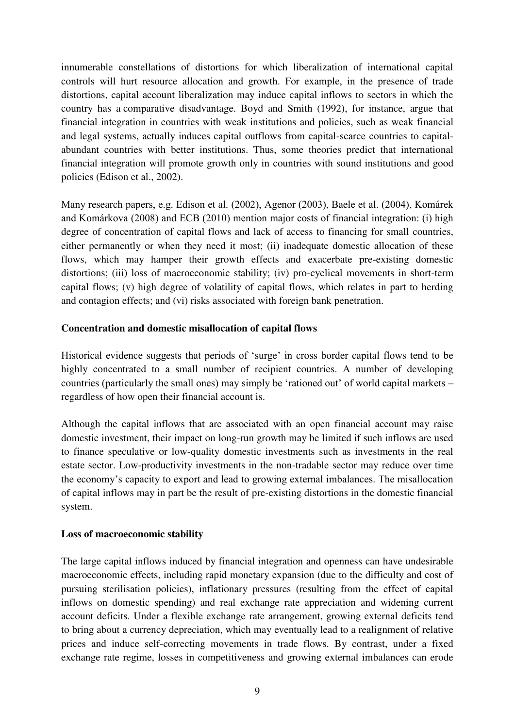innumerable constellations of distortions for which liberalization of international capital controls will hurt resource allocation and growth. For example, in the presence of trade distortions, capital account liberalization may induce capital inflows to sectors in which the country has a comparative disadvantage. Boyd and Smith (1992), for instance, argue that financial integration in countries with weak institutions and policies, such as weak financial and legal systems, actually induces capital outflows from capital-scarce countries to capitalabundant countries with better institutions. Thus, some theories predict that international financial integration will promote growth only in countries with sound institutions and good policies (Edison et al., 2002).

Many research papers, e.g. Edison et al. (2002), Agenor (2003), Baele et al. (2004), Komárek and Komárkova (2008) and ECB (2010) mention major costs of financial integration: (i) high degree of concentration of capital flows and lack of access to financing for small countries, either permanently or when they need it most; (ii) inadequate domestic allocation of these flows, which may hamper their growth effects and exacerbate pre-existing domestic distortions; (iii) loss of macroeconomic stability; (iv) pro-cyclical movements in short-term capital flows; (v) high degree of volatility of capital flows, which relates in part to herding and contagion effects; and (vi) risks associated with foreign bank penetration.

### **Concentration and domestic misallocation of capital flows**

Historical evidence suggests that periods of 'surge' in cross border capital flows tend to be highly concentrated to a small number of recipient countries. A number of developing countries (particularly the small ones) may simply be "rationed out" of world capital markets – regardless of how open their financial account is.

Although the capital inflows that are associated with an open financial account may raise domestic investment, their impact on long-run growth may be limited if such inflows are used to finance speculative or low-quality domestic investments such as investments in the real estate sector. Low-productivity investments in the non-tradable sector may reduce over time the economy"s capacity to export and lead to growing external imbalances. The misallocation of capital inflows may in part be the result of pre-existing distortions in the domestic financial system.

#### **Loss of macroeconomic stability**

The large capital inflows induced by financial integration and openness can have undesirable macroeconomic effects, including rapid monetary expansion (due to the difficulty and cost of pursuing sterilisation policies), inflationary pressures (resulting from the effect of capital inflows on domestic spending) and real exchange rate appreciation and widening current account deficits. Under a flexible exchange rate arrangement, growing external deficits tend to bring about a currency depreciation, which may eventually lead to a realignment of relative prices and induce self-correcting movements in trade flows. By contrast, under a fixed exchange rate regime, losses in competitiveness and growing external imbalances can erode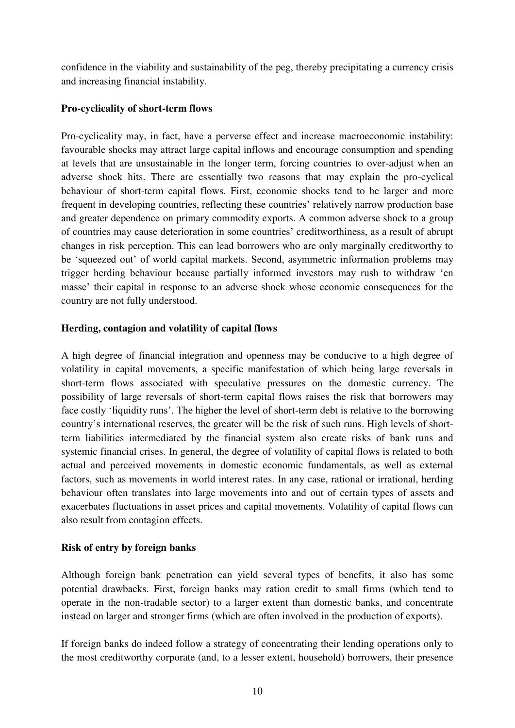confidence in the viability and sustainability of the peg, thereby precipitating a currency crisis and increasing financial instability.

## **Pro-cyclicality of short-term flows**

Pro-cyclicality may, in fact, have a perverse effect and increase macroeconomic instability: favourable shocks may attract large capital inflows and encourage consumption and spending at levels that are unsustainable in the longer term, forcing countries to over-adjust when an adverse shock hits. There are essentially two reasons that may explain the pro-cyclical behaviour of short-term capital flows. First, economic shocks tend to be larger and more frequent in developing countries, reflecting these countries" relatively narrow production base and greater dependence on primary commodity exports. A common adverse shock to a group of countries may cause deterioration in some countries" creditworthiness, as a result of abrupt changes in risk perception. This can lead borrowers who are only marginally creditworthy to be 'squeezed out' of world capital markets. Second, asymmetric information problems may trigger herding behaviour because partially informed investors may rush to withdraw "en masse" their capital in response to an adverse shock whose economic consequences for the country are not fully understood.

## **Herding, contagion and volatility of capital flows**

A high degree of financial integration and openness may be conducive to a high degree of volatility in capital movements, a specific manifestation of which being large reversals in short-term flows associated with speculative pressures on the domestic currency. The possibility of large reversals of short-term capital flows raises the risk that borrowers may face costly "liquidity runs". The higher the level of short-term debt is relative to the borrowing country"s international reserves, the greater will be the risk of such runs. High levels of shortterm liabilities intermediated by the financial system also create risks of bank runs and systemic financial crises. In general, the degree of volatility of capital flows is related to both actual and perceived movements in domestic economic fundamentals, as well as external factors, such as movements in world interest rates. In any case, rational or irrational, herding behaviour often translates into large movements into and out of certain types of assets and exacerbates fluctuations in asset prices and capital movements. Volatility of capital flows can also result from contagion effects.

## **Risk of entry by foreign banks**

Although foreign bank penetration can yield several types of benefits, it also has some potential drawbacks. First, foreign banks may ration credit to small firms (which tend to operate in the non-tradable sector) to a larger extent than domestic banks, and concentrate instead on larger and stronger firms (which are often involved in the production of exports).

If foreign banks do indeed follow a strategy of concentrating their lending operations only to the most creditworthy corporate (and, to a lesser extent, household) borrowers, their presence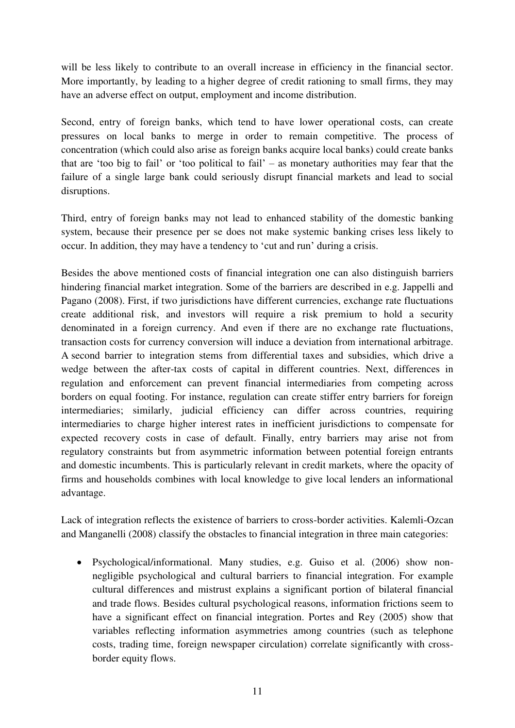will be less likely to contribute to an overall increase in efficiency in the financial sector. More importantly, by leading to a higher degree of credit rationing to small firms, they may have an adverse effect on output, employment and income distribution.

Second, entry of foreign banks, which tend to have lower operational costs, can create pressures on local banks to merge in order to remain competitive. The process of concentration (which could also arise as foreign banks acquire local banks) could create banks that are "too big to fail" or "too political to fail" – as monetary authorities may fear that the failure of a single large bank could seriously disrupt financial markets and lead to social disruptions.

Third, entry of foreign banks may not lead to enhanced stability of the domestic banking system, because their presence per se does not make systemic banking crises less likely to occur. In addition, they may have a tendency to "cut and run" during a crisis.

Besides the above mentioned costs of financial integration one can also distinguish barriers hindering financial market integration. Some of the barriers are described in e.g. Jappelli and Pagano (2008). First, if two jurisdictions have different currencies, exchange rate fluctuations create additional risk, and investors will require a risk premium to hold a security denominated in a foreign currency. And even if there are no exchange rate fluctuations, transaction costs for currency conversion will induce a deviation from international arbitrage. A second barrier to integration stems from differential taxes and subsidies, which drive a wedge between the after-tax costs of capital in different countries. Next, differences in regulation and enforcement can prevent financial intermediaries from competing across borders on equal footing. For instance, regulation can create stiffer entry barriers for foreign intermediaries; similarly, judicial efficiency can differ across countries, requiring intermediaries to charge higher interest rates in inefficient jurisdictions to compensate for expected recovery costs in case of default. Finally, entry barriers may arise not from regulatory constraints but from asymmetric information between potential foreign entrants and domestic incumbents. This is particularly relevant in credit markets, where the opacity of firms and households combines with local knowledge to give local lenders an informational advantage.

Lack of integration reflects the existence of barriers to cross-border activities. Kalemli-Ozcan and Manganelli (2008) classify the obstacles to financial integration in three main categories:

 Psychological/informational. Many studies, e.g. Guiso et al. (2006) show nonnegligible psychological and cultural barriers to financial integration. For example cultural differences and mistrust explains a significant portion of bilateral financial and trade flows. Besides cultural psychological reasons, information frictions seem to have a significant effect on financial integration. Portes and Rey (2005) show that variables reflecting information asymmetries among countries (such as telephone costs, trading time, foreign newspaper circulation) correlate significantly with crossborder equity flows.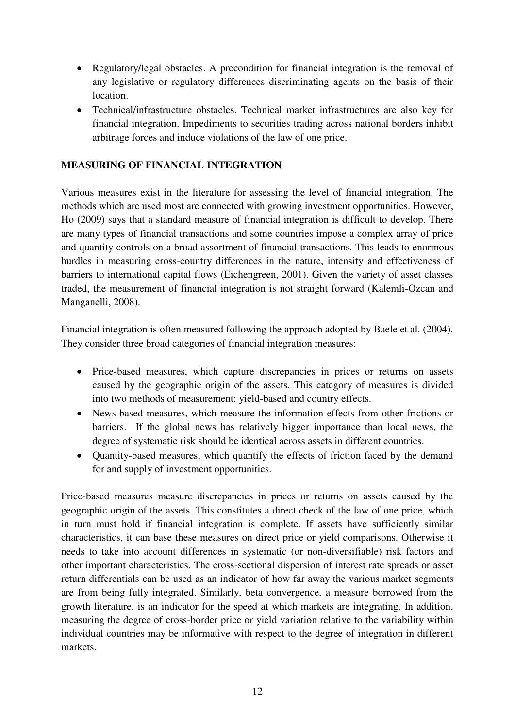- Regulatory/legal obstacles. A precondition for financial integration is the removal of any legislative or regulatory differences discriminating agents on the basis of their location.
- Technical/infrastructure obstacles. Technical market infrastructures are also key for financial integration. Impediments to securities trading across national borders inhibit arbitrage forces and induce violations of the law of one price.

## **MEASURING OF FINANCIAL INTEGRATION**

Various measures exist in the literature for assessing the level of financial integration. The methods which are used most are connected with growing investment opportunities. However, Ho (2009) says that a standard measure of financial integration is difficult to develop. There are many types of financial transactions and some countries impose a complex array of price and quantity controls on a broad assortment of financial transactions. This leads to enormous hurdles in measuring cross-country differences in the nature, intensity and effectiveness of barriers to international capital flows (Eichengreen, 2001). Given the variety of asset classes traded, the measurement of financial integration is not straight forward (Kalemli-Ozcan and Manganelli, 2008).

Financial integration is often measured following the approach adopted by Baele et al. (2004). They consider three broad categories of financial integration measures:

- Price-based measures, which capture discrepancies in prices or returns on assets caused by the geographic origin of the assets. This category of measures is divided into two methods of measurement: yield-based and country effects.
- News-based measures, which measure the information effects from other frictions or barriers. If the global news has relatively bigger importance than local news, the degree of systematic risk should be identical across assets in different countries.
- Quantity-based measures, which quantify the effects of friction faced by the demand for and supply of investment opportunities.

Price-based measures measure discrepancies in prices or returns on assets caused by the geographic origin of the assets. This constitutes a direct check of the law of one price, which in turn must hold if financial integration is complete. If assets have sufficiently similar characteristics, it can base these measures on direct price or yield comparisons. Otherwise it needs to take into account differences in systematic (or non-diversifiable) risk factors and other important characteristics. The cross-sectional dispersion of interest rate spreads or asset return differentials can be used as an indicator of how far away the various market segments are from being fully integrated. Similarly, beta convergence, a measure borrowed from the growth literature, is an indicator for the speed at which markets are integrating. In addition, measuring the degree of cross-border price or yield variation relative to the variability within individual countries may be informative with respect to the degree of integration in different markets.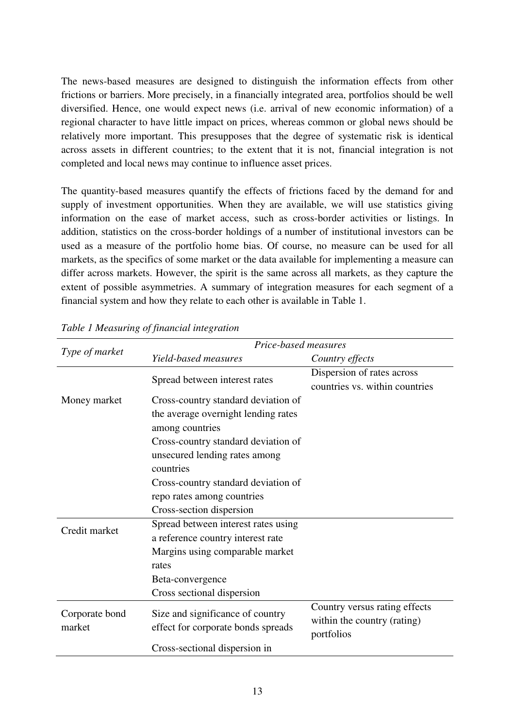The news-based measures are designed to distinguish the information effects from other frictions or barriers. More precisely, in a financially integrated area, portfolios should be well diversified. Hence, one would expect news (i.e. arrival of new economic information) of a regional character to have little impact on prices, whereas common or global news should be relatively more important. This presupposes that the degree of systematic risk is identical across assets in different countries; to the extent that it is not, financial integration is not completed and local news may continue to influence asset prices.

The quantity-based measures quantify the effects of frictions faced by the demand for and supply of investment opportunities. When they are available, we will use statistics giving information on the ease of market access, such as cross-border activities or listings. In addition, statistics on the cross-border holdings of a number of institutional investors can be used as a measure of the portfolio home bias. Of course, no measure can be used for all markets, as the specifics of some market or the data available for implementing a measure can differ across markets. However, the spirit is the same across all markets, as they capture the extent of possible asymmetries. A summary of integration measures for each segment of a financial system and how they relate to each other is available in Table 1.

|                          | Price-based measures                                                   |                                |  |
|--------------------------|------------------------------------------------------------------------|--------------------------------|--|
| Type of market           | Yield-based measures                                                   | Country effects                |  |
|                          | Spread between interest rates                                          | Dispersion of rates across     |  |
|                          |                                                                        | countries vs. within countries |  |
| Money market             | Cross-country standard deviation of                                    |                                |  |
|                          | the average overnight lending rates                                    |                                |  |
|                          | among countries                                                        |                                |  |
|                          | Cross-country standard deviation of                                    |                                |  |
|                          | unsecured lending rates among                                          |                                |  |
|                          | countries                                                              |                                |  |
|                          | Cross-country standard deviation of                                    |                                |  |
|                          | repo rates among countries                                             |                                |  |
|                          | Cross-section dispersion                                               |                                |  |
| Credit market            | Spread between interest rates using                                    |                                |  |
|                          | a reference country interest rate                                      |                                |  |
|                          | Margins using comparable market                                        |                                |  |
|                          | rates                                                                  |                                |  |
|                          | Beta-convergence                                                       |                                |  |
|                          | Cross sectional dispersion                                             |                                |  |
| Corporate bond<br>market | Size and significance of country<br>effect for corporate bonds spreads | Country versus rating effects  |  |
|                          |                                                                        | within the country (rating)    |  |
|                          |                                                                        | portfolios                     |  |
|                          | Cross-sectional dispersion in                                          |                                |  |

*Table 1 Measuring of financial integration*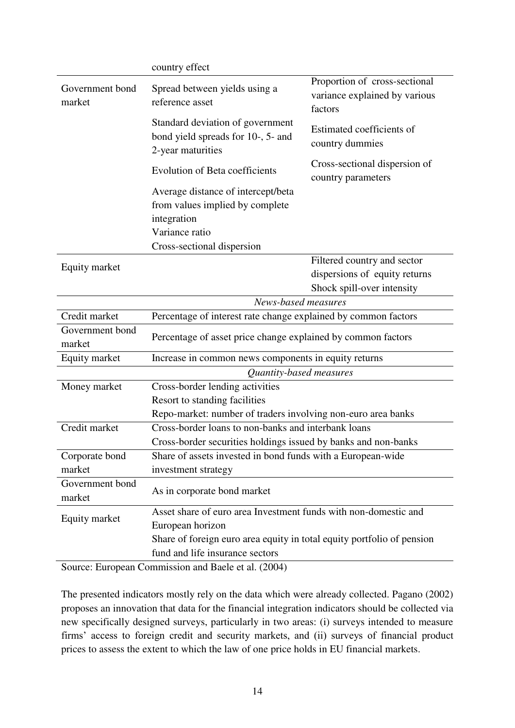|                           | country effect                                                                              |                                                                           |  |
|---------------------------|---------------------------------------------------------------------------------------------|---------------------------------------------------------------------------|--|
| Government bond<br>market | Spread between yields using a<br>reference asset                                            | Proportion of cross-sectional<br>variance explained by various<br>factors |  |
|                           | Standard deviation of government<br>bond yield spreads for 10-, 5- and<br>2-year maturities | Estimated coefficients of<br>country dummies                              |  |
|                           | <b>Evolution of Beta coefficients</b>                                                       | Cross-sectional dispersion of<br>country parameters                       |  |
|                           | Average distance of intercept/beta                                                          |                                                                           |  |
|                           | from values implied by complete                                                             |                                                                           |  |
|                           | integration                                                                                 |                                                                           |  |
|                           | Variance ratio                                                                              |                                                                           |  |
|                           | Cross-sectional dispersion                                                                  |                                                                           |  |
|                           |                                                                                             | Filtered country and sector                                               |  |
| Equity market             |                                                                                             | dispersions of equity returns                                             |  |
|                           |                                                                                             | Shock spill-over intensity                                                |  |
|                           | News-based measures                                                                         |                                                                           |  |
| Credit market             | Percentage of interest rate change explained by common factors                              |                                                                           |  |
| Government bond<br>market | Percentage of asset price change explained by common factors                                |                                                                           |  |
| Equity market             | Increase in common news components in equity returns                                        |                                                                           |  |
|                           | Quantity-based measures                                                                     |                                                                           |  |
| Money market              | Cross-border lending activities                                                             |                                                                           |  |
|                           | Resort to standing facilities                                                               |                                                                           |  |
|                           | Repo-market: number of traders involving non-euro area banks                                |                                                                           |  |
| Credit market             | Cross-border loans to non-banks and interbank loans                                         |                                                                           |  |
|                           | Cross-border securities holdings issued by banks and non-banks                              |                                                                           |  |
| Corporate bond            | Share of assets invested in bond funds with a European-wide                                 |                                                                           |  |
| market                    | investment strategy                                                                         |                                                                           |  |
| Government bond<br>market | As in corporate bond market                                                                 |                                                                           |  |
|                           | Asset share of euro area Investment funds with non-domestic and                             |                                                                           |  |
| Equity market             | European horizon                                                                            |                                                                           |  |
|                           | Share of foreign euro area equity in total equity portfolio of pension                      |                                                                           |  |
|                           | fund and life insurance sectors                                                             |                                                                           |  |
|                           |                                                                                             |                                                                           |  |

Source: European Commission and Baele et al. (2004)

The presented indicators mostly rely on the data which were already collected. Pagano (2002) proposes an innovation that data for the financial integration indicators should be collected via new specifically designed surveys, particularly in two areas: (i) surveys intended to measure firms' access to foreign credit and security markets, and (ii) surveys of financial product prices to assess the extent to which the law of one price holds in EU financial markets.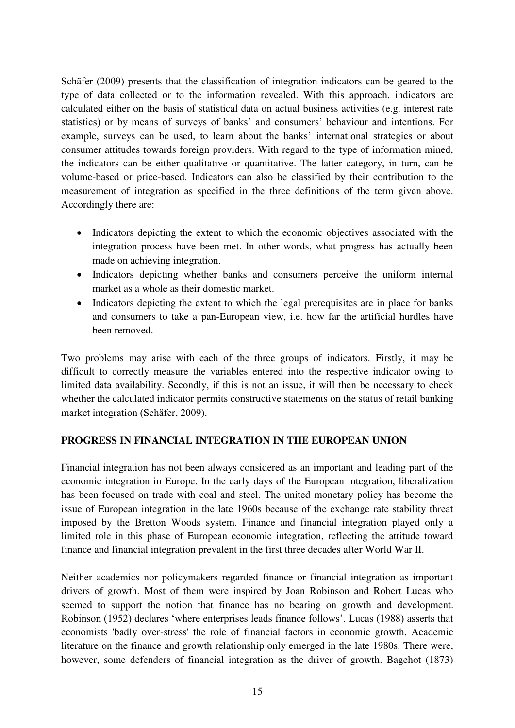Schäfer (2009) presents that the classification of integration indicators can be geared to the type of data collected or to the information revealed. With this approach, indicators are calculated either on the basis of statistical data on actual business activities (e.g. interest rate statistics) or by means of surveys of banks" and consumers" behaviour and intentions. For example, surveys can be used, to learn about the banks' international strategies or about consumer attitudes towards foreign providers. With regard to the type of information mined, the indicators can be either qualitative or quantitative. The latter category, in turn, can be volume-based or price-based. Indicators can also be classified by their contribution to the measurement of integration as specified in the three definitions of the term given above. Accordingly there are:

- Indicators depicting the extent to which the economic objectives associated with the integration process have been met. In other words, what progress has actually been made on achieving integration.
- Indicators depicting whether banks and consumers perceive the uniform internal market as a whole as their domestic market.
- Indicators depicting the extent to which the legal prerequisites are in place for banks and consumers to take a pan-European view, i.e. how far the artificial hurdles have been removed.

Two problems may arise with each of the three groups of indicators. Firstly, it may be difficult to correctly measure the variables entered into the respective indicator owing to limited data availability. Secondly, if this is not an issue, it will then be necessary to check whether the calculated indicator permits constructive statements on the status of retail banking market integration (Schäfer, 2009).

## **PROGRESS IN FINANCIAL INTEGRATION IN THE EUROPEAN UNION**

Financial integration has not been always considered as an important and leading part of the economic integration in Europe. In the early days of the European integration, liberalization has been focused on trade with coal and steel. The united monetary policy has become the issue of European integration in the late 1960s because of the exchange rate stability threat imposed by the Bretton Woods system. Finance and financial integration played only a limited role in this phase of European economic integration, reflecting the attitude toward finance and financial integration prevalent in the first three decades after World War II.

Neither academics nor policymakers regarded finance or financial integration as important drivers of growth. Most of them were inspired by Joan Robinson and Robert Lucas who seemed to support the notion that finance has no bearing on growth and development. Robinson (1952) declares "where enterprises leads finance follows". Lucas (1988) asserts that economists 'badly over-stress' the role of financial factors in economic growth. Academic literature on the finance and growth relationship only emerged in the late 1980s. There were, however, some defenders of financial integration as the driver of growth. Bagehot (1873)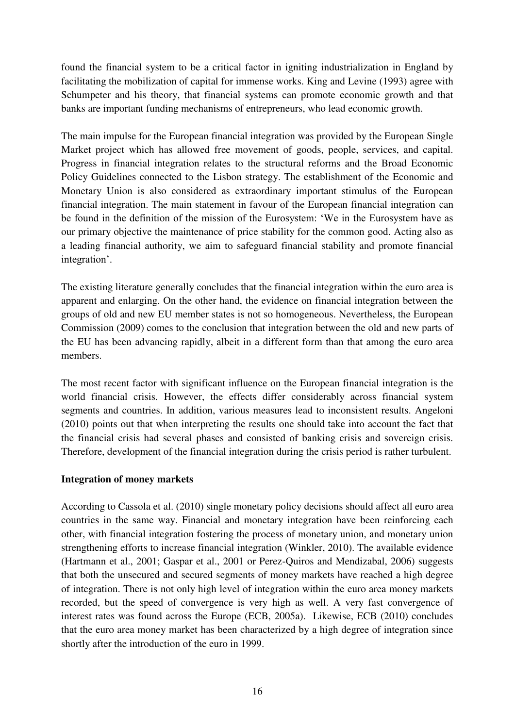found the financial system to be a critical factor in igniting industrialization in England by facilitating the mobilization of capital for immense works. King and Levine (1993) agree with Schumpeter and his theory, that financial systems can promote economic growth and that banks are important funding mechanisms of entrepreneurs, who lead economic growth.

The main impulse for the European financial integration was provided by the European Single Market project which has allowed free movement of goods, people, services, and capital. Progress in financial integration relates to the structural reforms and the Broad Economic Policy Guidelines connected to the Lisbon strategy. The establishment of the Economic and Monetary Union is also considered as extraordinary important stimulus of the European financial integration. The main statement in favour of the European financial integration can be found in the definition of the mission of the Eurosystem: "We in the Eurosystem have as our primary objective the maintenance of price stability for the common good. Acting also as a leading financial authority, we aim to safeguard financial stability and promote financial integration".

The existing literature generally concludes that the financial integration within the euro area is apparent and enlarging. On the other hand, the evidence on financial integration between the groups of old and new EU member states is not so homogeneous. Nevertheless, the European Commission (2009) comes to the conclusion that integration between the old and new parts of the EU has been advancing rapidly, albeit in a different form than that among the euro area members.

The most recent factor with significant influence on the European financial integration is the world financial crisis. However, the effects differ considerably across financial system segments and countries. In addition, various measures lead to inconsistent results. Angeloni (2010) points out that when interpreting the results one should take into account the fact that the financial crisis had several phases and consisted of banking crisis and sovereign crisis. Therefore, development of the financial integration during the crisis period is rather turbulent.

## **Integration of money markets**

According to Cassola et al. (2010) single monetary policy decisions should affect all euro area countries in the same way. Financial and monetary integration have been reinforcing each other, with financial integration fostering the process of monetary union, and monetary union strengthening efforts to increase financial integration (Winkler, 2010). The available evidence (Hartmann et al., 2001; Gaspar et al., 2001 or Perez-Quiros and Mendizabal, 2006) suggests that both the unsecured and secured segments of money markets have reached a high degree of integration. There is not only high level of integration within the euro area money markets recorded, but the speed of convergence is very high as well. A very fast convergence of interest rates was found across the Europe (ECB, 2005a). Likewise, ECB (2010) concludes that the euro area money market has been characterized by a high degree of integration since shortly after the introduction of the euro in 1999.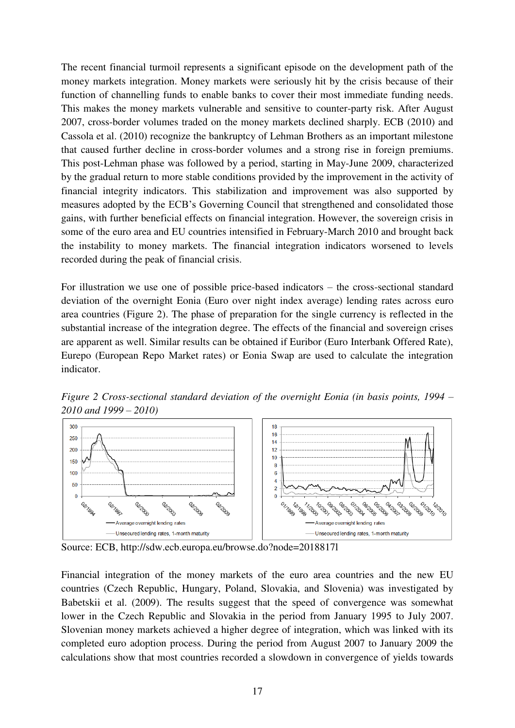The recent financial turmoil represents a significant episode on the development path of the money markets integration. Money markets were seriously hit by the crisis because of their function of channelling funds to enable banks to cover their most immediate funding needs. This makes the money markets vulnerable and sensitive to counter-party risk. After August 2007, cross-border volumes traded on the money markets declined sharply. ECB (2010) and Cassola et al. (2010) recognize the bankruptcy of Lehman Brothers as an important milestone that caused further decline in cross-border volumes and a strong rise in foreign premiums. This post-Lehman phase was followed by a period, starting in May-June 2009, characterized by the gradual return to more stable conditions provided by the improvement in the activity of financial integrity indicators. This stabilization and improvement was also supported by measures adopted by the ECB"s Governing Council that strengthened and consolidated those gains, with further beneficial effects on financial integration. However, the sovereign crisis in some of the euro area and EU countries intensified in February-March 2010 and brought back the instability to money markets. The financial integration indicators worsened to levels recorded during the peak of financial crisis.

For illustration we use one of possible price-based indicators – the cross-sectional standard deviation of the overnight Eonia (Euro over night index average) lending rates across euro area countries (Figure 2). The phase of preparation for the single currency is reflected in the substantial increase of the integration degree. The effects of the financial and sovereign crises are apparent as well. Similar results can be obtained if Euribor (Euro Interbank Offered Rate), Eurepo (European Repo Market rates) or Eonia Swap are used to calculate the integration indicator.

*Figure 2 Cross-sectional standard deviation of the overnight Eonia (in basis points, 1994 – 2010 and 1999 – 2010)* 



Source: ECB, http://sdw.ecb.europa.eu/browse.do?node=2018817l

Financial integration of the money markets of the euro area countries and the new EU countries (Czech Republic, Hungary, Poland, Slovakia, and Slovenia) was investigated by Babetskii et al. (2009). The results suggest that the speed of convergence was somewhat lower in the Czech Republic and Slovakia in the period from January 1995 to July 2007. Slovenian money markets achieved a higher degree of integration, which was linked with its completed euro adoption process. During the period from August 2007 to January 2009 the calculations show that most countries recorded a slowdown in convergence of yields towards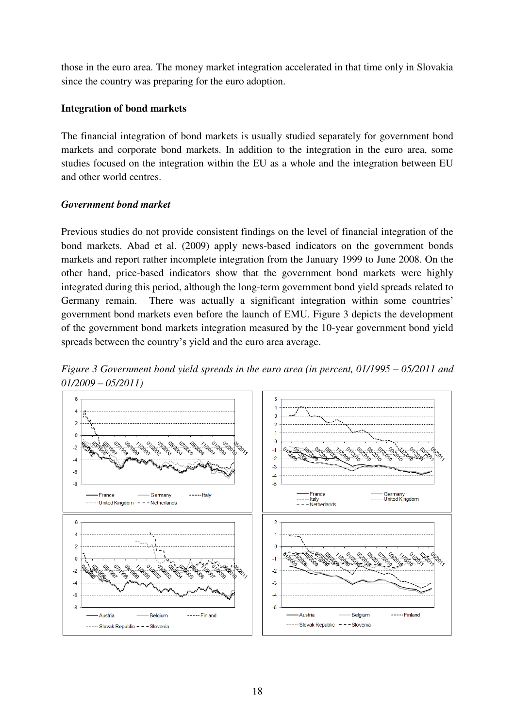those in the euro area. The money market integration accelerated in that time only in Slovakia since the country was preparing for the euro adoption.

## **Integration of bond markets**

The financial integration of bond markets is usually studied separately for government bond markets and corporate bond markets. In addition to the integration in the euro area, some studies focused on the integration within the EU as a whole and the integration between EU and other world centres.

## *Government bond market*

Previous studies do not provide consistent findings on the level of financial integration of the bond markets. Abad et al. (2009) apply news-based indicators on the government bonds markets and report rather incomplete integration from the January 1999 to June 2008. On the other hand, price-based indicators show that the government bond markets were highly integrated during this period, although the long-term government bond yield spreads related to Germany remain. There was actually a significant integration within some countries' government bond markets even before the launch of EMU. Figure 3 depicts the development of the government bond markets integration measured by the 10-year government bond yield spreads between the country"s yield and the euro area average.



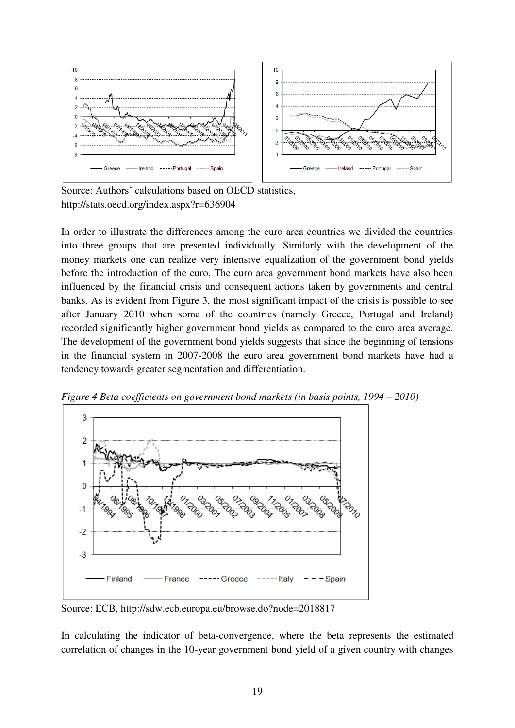

Source: Authors' calculations based on OECD statistics, http://stats.oecd.org/index.aspx?r=636904

In order to illustrate the differences among the euro area countries we divided the countries into three groups that are presented individually. Similarly with the development of the money markets one can realize very intensive equalization of the government bond yields before the introduction of the euro. The euro area government bond markets have also been influenced by the financial crisis and consequent actions taken by governments and central banks. As is evident from Figure 3, the most significant impact of the crisis is possible to see after January 2010 when some of the countries (namely Greece, Portugal and Ireland) recorded significantly higher government bond yields as compared to the euro area average. The development of the government bond yields suggests that since the beginning of tensions in the financial system in 2007-2008 the euro area government bond markets have had a tendency towards greater segmentation and differentiation.



*Figure 4 Beta coefficients on government bond markets (in basis points, 1994 – 2010)* 

Source: ECB, http://sdw.ecb.europa.eu/browse.do?node=2018817

In calculating the indicator of beta-convergence, where the beta represents the estimated correlation of changes in the 10-year government bond yield of a given country with changes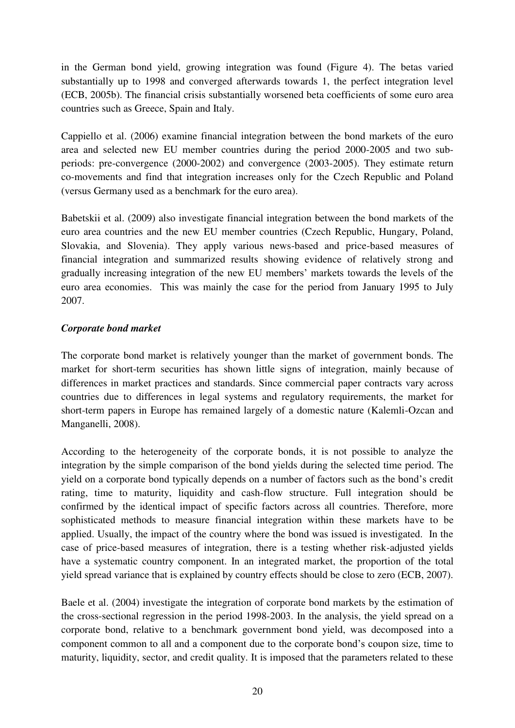in the German bond yield, growing integration was found (Figure 4). The betas varied substantially up to 1998 and converged afterwards towards 1, the perfect integration level (ECB, 2005b). The financial crisis substantially worsened beta coefficients of some euro area countries such as Greece, Spain and Italy.

Cappiello et al. (2006) examine financial integration between the bond markets of the euro area and selected new EU member countries during the period 2000-2005 and two subperiods: pre-convergence (2000-2002) and convergence (2003-2005). They estimate return co-movements and find that integration increases only for the Czech Republic and Poland (versus Germany used as a benchmark for the euro area).

Babetskii et al. (2009) also investigate financial integration between the bond markets of the euro area countries and the new EU member countries (Czech Republic, Hungary, Poland, Slovakia, and Slovenia). They apply various news-based and price-based measures of financial integration and summarized results showing evidence of relatively strong and gradually increasing integration of the new EU members" markets towards the levels of the euro area economies. This was mainly the case for the period from January 1995 to July 2007.

## *Corporate bond market*

The corporate bond market is relatively younger than the market of government bonds. The market for short-term securities has shown little signs of integration, mainly because of differences in market practices and standards. Since commercial paper contracts vary across countries due to differences in legal systems and regulatory requirements, the market for short-term papers in Europe has remained largely of a domestic nature (Kalemli-Ozcan and Manganelli, 2008).

According to the heterogeneity of the corporate bonds, it is not possible to analyze the integration by the simple comparison of the bond yields during the selected time period. The yield on a corporate bond typically depends on a number of factors such as the bond"s credit rating, time to maturity, liquidity and cash-flow structure. Full integration should be confirmed by the identical impact of specific factors across all countries. Therefore, more sophisticated methods to measure financial integration within these markets have to be applied. Usually, the impact of the country where the bond was issued is investigated. In the case of price-based measures of integration, there is a testing whether risk-adjusted yields have a systematic country component. In an integrated market, the proportion of the total yield spread variance that is explained by country effects should be close to zero (ECB, 2007).

Baele et al. (2004) investigate the integration of corporate bond markets by the estimation of the cross-sectional regression in the period 1998-2003. In the analysis, the yield spread on a corporate bond, relative to a benchmark government bond yield, was decomposed into a component common to all and a component due to the corporate bond"s coupon size, time to maturity, liquidity, sector, and credit quality. It is imposed that the parameters related to these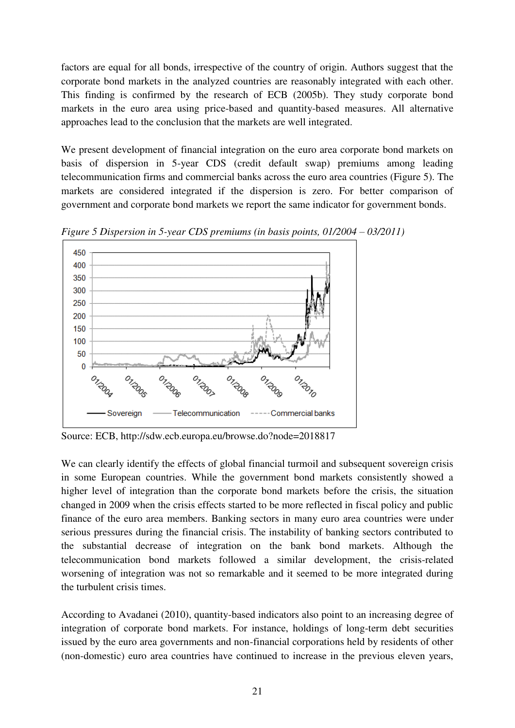factors are equal for all bonds, irrespective of the country of origin. Authors suggest that the corporate bond markets in the analyzed countries are reasonably integrated with each other. This finding is confirmed by the research of ECB (2005b). They study corporate bond markets in the euro area using price-based and quantity-based measures. All alternative approaches lead to the conclusion that the markets are well integrated.

We present development of financial integration on the euro area corporate bond markets on basis of dispersion in 5-year CDS (credit default swap) premiums among leading telecommunication firms and commercial banks across the euro area countries (Figure 5). The markets are considered integrated if the dispersion is zero. For better comparison of government and corporate bond markets we report the same indicator for government bonds.



*Figure 5 Dispersion in 5-year CDS premiums (in basis points, 01/2004 – 03/2011)* 

Source: ECB, http://sdw.ecb.europa.eu/browse.do?node=2018817

We can clearly identify the effects of global financial turmoil and subsequent sovereign crisis in some European countries. While the government bond markets consistently showed a higher level of integration than the corporate bond markets before the crisis, the situation changed in 2009 when the crisis effects started to be more reflected in fiscal policy and public finance of the euro area members. Banking sectors in many euro area countries were under serious pressures during the financial crisis. The instability of banking sectors contributed to the substantial decrease of integration on the bank bond markets. Although the telecommunication bond markets followed a similar development, the crisis-related worsening of integration was not so remarkable and it seemed to be more integrated during the turbulent crisis times.

According to Avadanei (2010), quantity-based indicators also point to an increasing degree of integration of corporate bond markets. For instance, holdings of long-term debt securities issued by the euro area governments and non-financial corporations held by residents of other (non-domestic) euro area countries have continued to increase in the previous eleven years,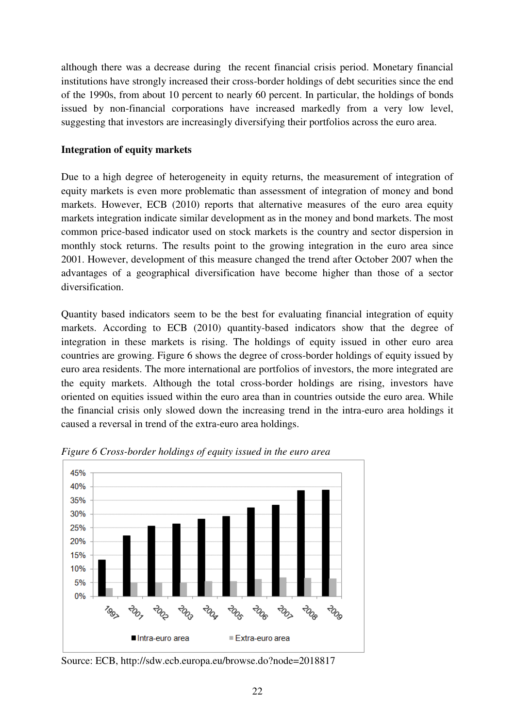although there was a decrease during the recent financial crisis period. Monetary financial institutions have strongly increased their cross-border holdings of debt securities since the end of the 1990s, from about 10 percent to nearly 60 percent. In particular, the holdings of bonds issued by non-financial corporations have increased markedly from a very low level, suggesting that investors are increasingly diversifying their portfolios across the euro area.

## **Integration of equity markets**

Due to a high degree of heterogeneity in equity returns, the measurement of integration of equity markets is even more problematic than assessment of integration of money and bond markets. However, ECB (2010) reports that alternative measures of the euro area equity markets integration indicate similar development as in the money and bond markets. The most common price-based indicator used on stock markets is the country and sector dispersion in monthly stock returns. The results point to the growing integration in the euro area since 2001. However, development of this measure changed the trend after October 2007 when the advantages of a geographical diversification have become higher than those of a sector diversification.

Quantity based indicators seem to be the best for evaluating financial integration of equity markets. According to ECB (2010) quantity-based indicators show that the degree of integration in these markets is rising. The holdings of equity issued in other euro area countries are growing. Figure 6 shows the degree of cross-border holdings of equity issued by euro area residents. The more international are portfolios of investors, the more integrated are the equity markets. Although the total cross-border holdings are rising, investors have oriented on equities issued within the euro area than in countries outside the euro area. While the financial crisis only slowed down the increasing trend in the intra-euro area holdings it caused a reversal in trend of the extra-euro area holdings.



*Figure 6 Cross-border holdings of equity issued in the euro area* 

Source: ECB, http://sdw.ecb.europa.eu/browse.do?node=2018817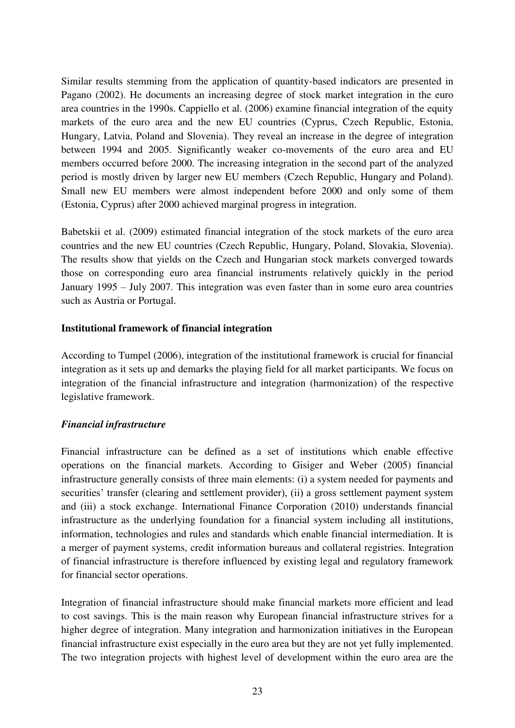Similar results stemming from the application of quantity-based indicators are presented in Pagano (2002). He documents an increasing degree of stock market integration in the euro area countries in the 1990s. Cappiello et al. (2006) examine financial integration of the equity markets of the euro area and the new EU countries (Cyprus, Czech Republic, Estonia, Hungary, Latvia, Poland and Slovenia). They reveal an increase in the degree of integration between 1994 and 2005. Significantly weaker co-movements of the euro area and EU members occurred before 2000. The increasing integration in the second part of the analyzed period is mostly driven by larger new EU members (Czech Republic, Hungary and Poland). Small new EU members were almost independent before 2000 and only some of them (Estonia, Cyprus) after 2000 achieved marginal progress in integration.

Babetskii et al. (2009) estimated financial integration of the stock markets of the euro area countries and the new EU countries (Czech Republic, Hungary, Poland, Slovakia, Slovenia). The results show that yields on the Czech and Hungarian stock markets converged towards those on corresponding euro area financial instruments relatively quickly in the period January 1995 – July 2007. This integration was even faster than in some euro area countries such as Austria or Portugal.

### **Institutional framework of financial integration**

According to Tumpel (2006), integration of the institutional framework is crucial for financial integration as it sets up and demarks the playing field for all market participants. We focus on integration of the financial infrastructure and integration (harmonization) of the respective legislative framework.

## *Financial infrastructure*

Financial infrastructure can be defined as a set of institutions which enable effective operations on the financial markets. According to Gisiger and Weber (2005) financial infrastructure generally consists of three main elements: (i) a system needed for payments and securities' transfer (clearing and settlement provider), (ii) a gross settlement payment system and (iii) a stock exchange. International Finance Corporation (2010) understands financial infrastructure as the underlying foundation for a financial system including all institutions, information, technologies and rules and standards which enable financial intermediation. It is a merger of payment systems, credit information bureaus and collateral registries. Integration of financial infrastructure is therefore influenced by existing legal and regulatory framework for financial sector operations.

Integration of financial infrastructure should make financial markets more efficient and lead to cost savings. This is the main reason why European financial infrastructure strives for a higher degree of integration. Many integration and harmonization initiatives in the European financial infrastructure exist especially in the euro area but they are not yet fully implemented. The two integration projects with highest level of development within the euro area are the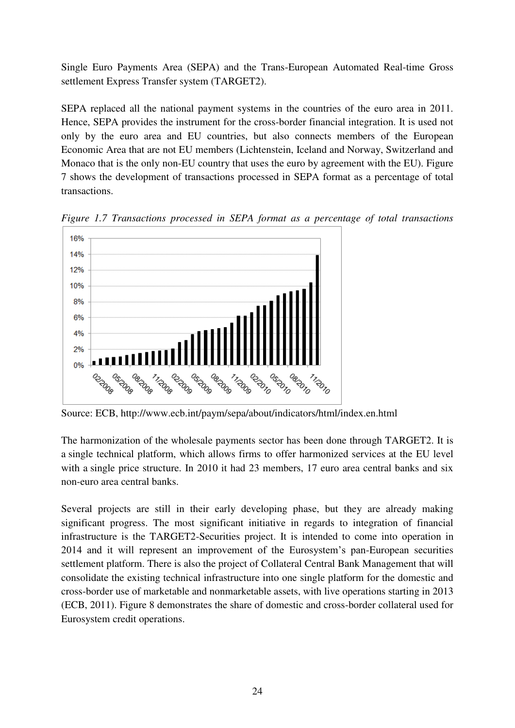Single Euro Payments Area (SEPA) and the Trans-European Automated Real-time Gross settlement Express Transfer system (TARGET2).

SEPA replaced all the national payment systems in the countries of the euro area in 2011. Hence, SEPA provides the instrument for the cross-border financial integration. It is used not only by the euro area and EU countries, but also connects members of the European Economic Area that are not EU members (Lichtenstein, Iceland and Norway, Switzerland and Monaco that is the only non-EU country that uses the euro by agreement with the EU). Figure 7 shows the development of transactions processed in SEPA format as a percentage of total transactions.



*Figure 1.7 Transactions processed in SEPA format as a percentage of total transactions* 

Source: ECB, http://www.ecb.int/paym/sepa/about/indicators/html/index.en.html

The harmonization of the wholesale payments sector has been done through TARGET2. It is a single technical platform, which allows firms to offer harmonized services at the EU level with a single price structure. In 2010 it had 23 members, 17 euro area central banks and six non-euro area central banks.

Several projects are still in their early developing phase, but they are already making significant progress. The most significant initiative in regards to integration of financial infrastructure is the TARGET2-Securities project. It is intended to come into operation in 2014 and it will represent an improvement of the Eurosystem"s pan-European securities settlement platform. There is also the project of Collateral Central Bank Management that will consolidate the existing technical infrastructure into one single platform for the domestic and cross-border use of marketable and nonmarketable assets, with live operations starting in 2013 (ECB, 2011). Figure 8 demonstrates the share of domestic and cross-border collateral used for Eurosystem credit operations.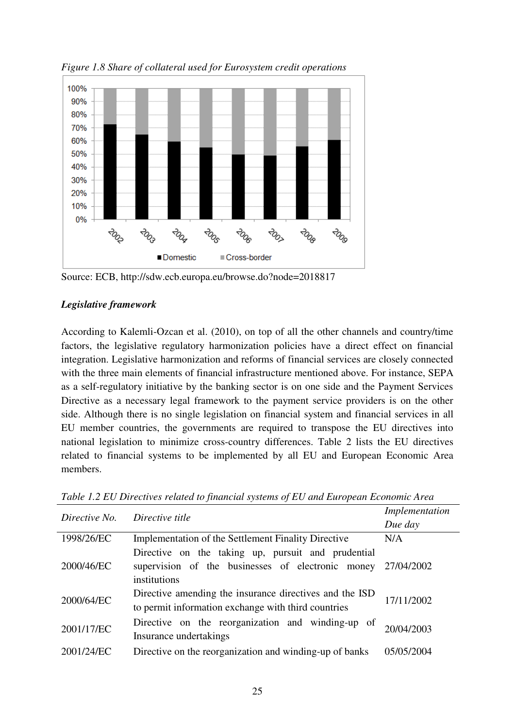

*Figure 1.8 Share of collateral used for Eurosystem credit operations* 

Source: ECB, http://sdw.ecb.europa.eu/browse.do?node=2018817

## *Legislative framework*

According to Kalemli-Ozcan et al. (2010), on top of all the other channels and country/time factors, the legislative regulatory harmonization policies have a direct effect on financial integration. Legislative harmonization and reforms of financial services are closely connected with the three main elements of financial infrastructure mentioned above. For instance, SEPA as a self-regulatory initiative by the banking sector is on one side and the Payment Services Directive as a necessary legal framework to the payment service providers is on the other side. Although there is no single legislation on financial system and financial services in all EU member countries, the governments are required to transpose the EU directives into national legislation to minimize cross-country differences. Table 2 lists the EU directives related to financial systems to be implemented by all EU and European Economic Area members.

| Directive No. | Directive title                                              | Implementation |
|---------------|--------------------------------------------------------------|----------------|
|               |                                                              | Due day        |
| 1998/26/EC    | <b>Implementation of the Settlement Finality Directive</b>   | N/A            |
|               | Directive on the taking up, pursuit and prudential           |                |
| 2000/46/EC    | supervision of the businesses of electronic money 27/04/2002 |                |
|               | institutions                                                 |                |
| 2000/64/EC    | Directive amending the insurance directives and the ISD      | 17/11/2002     |
|               | to permit information exchange with third countries          |                |
| 2001/17/EC    | Directive on the reorganization and winding-up of            |                |
|               | Insurance undertakings                                       | 20/04/2003     |
| 2001/24/EC    | Directive on the reorganization and winding-up of banks      | 05/05/2004     |

*Table 1.2 EU Directives related to financial systems of EU and European Economic Area*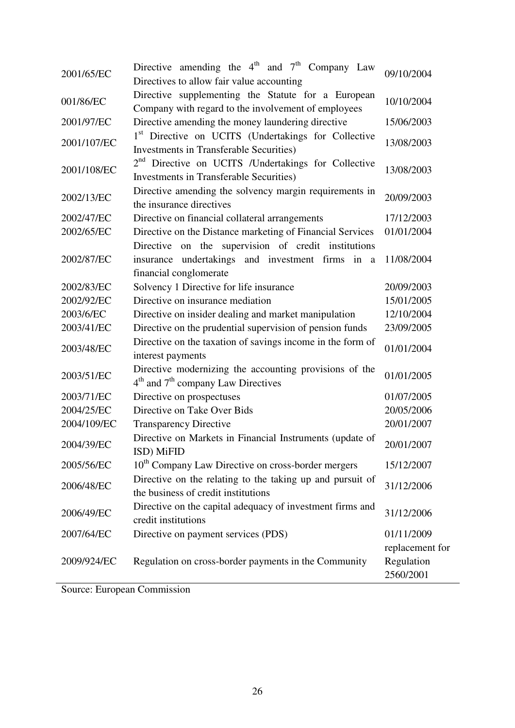| 2001/65/EC  | Directive amending the $4^{\text{th}}$ and $7^{\text{th}}$ Company Law<br>Directives to allow fair value accounting               | 09/10/2004                                 |
|-------------|-----------------------------------------------------------------------------------------------------------------------------------|--------------------------------------------|
| 001/86/EC   | Directive supplementing the Statute for a European<br>Company with regard to the involvement of employees                         | 10/10/2004                                 |
| 2001/97/EC  | Directive amending the money laundering directive                                                                                 | 15/06/2003                                 |
| 2001/107/EC | 1 <sup>st</sup> Directive on UCITS (Undertakings for Collective<br><b>Investments in Transferable Securities</b> )                | 13/08/2003                                 |
| 2001/108/EC | 2 <sup>nd</sup> Directive on UCITS /Undertakings for Collective<br><b>Investments in Transferable Securities</b> )                | 13/08/2003                                 |
| 2002/13/EC  | Directive amending the solvency margin requirements in<br>the insurance directives                                                | 20/09/2003                                 |
| 2002/47/EC  | Directive on financial collateral arrangements                                                                                    | 17/12/2003                                 |
| 2002/65/EC  | Directive on the Distance marketing of Financial Services                                                                         | 01/01/2004                                 |
| 2002/87/EC  | Directive on the supervision of credit institutions<br>insurance undertakings and investment firms in a<br>financial conglomerate | 11/08/2004                                 |
| 2002/83/EC  | Solvency 1 Directive for life insurance                                                                                           | 20/09/2003                                 |
| 2002/92/EC  | Directive on insurance mediation                                                                                                  | 15/01/2005                                 |
| 2003/6/EC   | Directive on insider dealing and market manipulation                                                                              | 12/10/2004                                 |
| 2003/41/EC  | Directive on the prudential supervision of pension funds                                                                          | 23/09/2005                                 |
| 2003/48/EC  | Directive on the taxation of savings income in the form of<br>interest payments                                                   | 01/01/2004                                 |
| 2003/51/EC  | Directive modernizing the accounting provisions of the<br>$4th$ and $7th$ company Law Directives                                  | 01/01/2005                                 |
| 2003/71/EC  | Directive on prospectuses                                                                                                         | 01/07/2005                                 |
| 2004/25/EC  | Directive on Take Over Bids                                                                                                       | 20/05/2006                                 |
| 2004/109/EC | <b>Transparency Directive</b>                                                                                                     | 20/01/2007                                 |
| 2004/39/EC  | Directive on Markets in Financial Instruments (update of<br>ISD) MiFID                                                            | 20/01/2007                                 |
| 2005/56/EC  | 10 <sup>th</sup> Company Law Directive on cross-border mergers                                                                    | 15/12/2007                                 |
| 2006/48/EC  | Directive on the relating to the taking up and pursuit of<br>the business of credit institutions                                  | 31/12/2006                                 |
| 2006/49/EC  | Directive on the capital adequacy of investment firms and<br>credit institutions                                                  | 31/12/2006                                 |
| 2007/64/EC  | Directive on payment services (PDS)                                                                                               | 01/11/2009                                 |
| 2009/924/EC | Regulation on cross-border payments in the Community                                                                              | replacement for<br>Regulation<br>2560/2001 |

Source: European Commission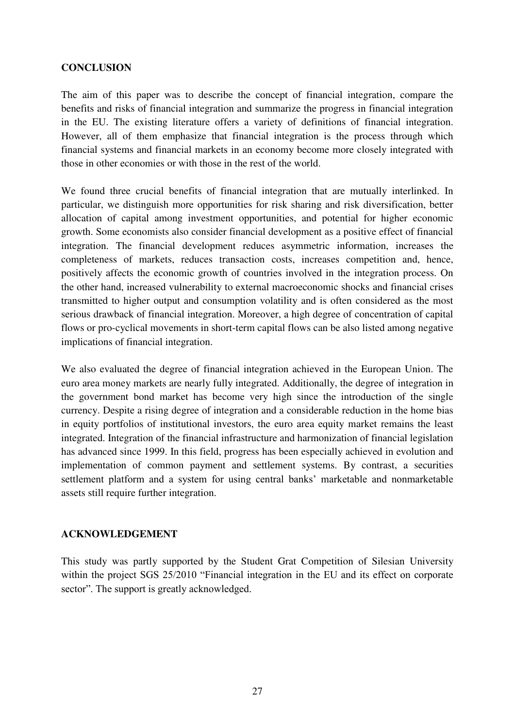## **CONCLUSION**

The aim of this paper was to describe the concept of financial integration, compare the benefits and risks of financial integration and summarize the progress in financial integration in the EU. The existing literature offers a variety of definitions of financial integration. However, all of them emphasize that financial integration is the process through which financial systems and financial markets in an economy become more closely integrated with those in other economies or with those in the rest of the world.

We found three crucial benefits of financial integration that are mutually interlinked. In particular, we distinguish more opportunities for risk sharing and risk diversification, better allocation of capital among investment opportunities, and potential for higher economic growth. Some economists also consider financial development as a positive effect of financial integration. The financial development reduces asymmetric information, increases the completeness of markets, reduces transaction costs, increases competition and, hence, positively affects the economic growth of countries involved in the integration process. On the other hand, increased vulnerability to external macroeconomic shocks and financial crises transmitted to higher output and consumption volatility and is often considered as the most serious drawback of financial integration. Moreover, a high degree of concentration of capital flows or pro-cyclical movements in short-term capital flows can be also listed among negative implications of financial integration.

We also evaluated the degree of financial integration achieved in the European Union. The euro area money markets are nearly fully integrated. Additionally, the degree of integration in the government bond market has become very high since the introduction of the single currency. Despite a rising degree of integration and a considerable reduction in the home bias in equity portfolios of institutional investors, the euro area equity market remains the least integrated. Integration of the financial infrastructure and harmonization of financial legislation has advanced since 1999. In this field, progress has been especially achieved in evolution and implementation of common payment and settlement systems. By contrast, a securities settlement platform and a system for using central banks' marketable and nonmarketable assets still require further integration.

#### **ACKNOWLEDGEMENT**

This study was partly supported by the Student Grat Competition of Silesian University within the project SGS 25/2010 "Financial integration in the EU and its effect on corporate sector". The support is greatly acknowledged.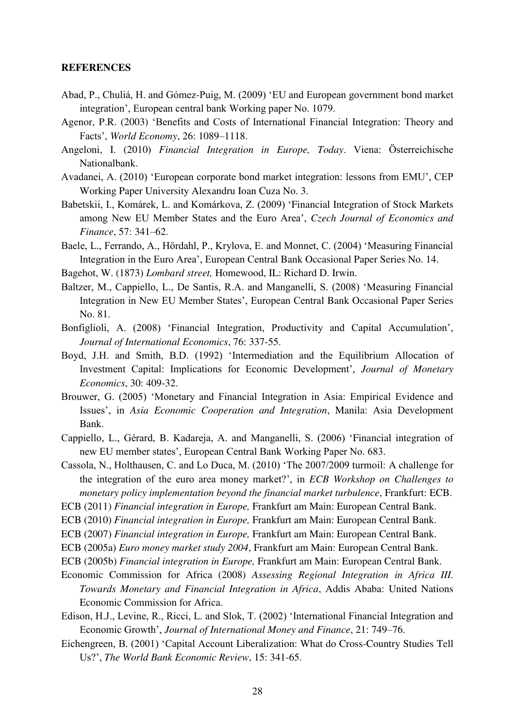#### **REFERENCES**

- Abad, P., Chuliá, H. and Gómez-Puig, M. (2009) "EU and European government bond market integration", European central bank Working paper No. 1079.
- Agenor, P.R. (2003) "Benefits and Costs of International Financial Integration: Theory and Facts", *World Economy*, 26: 1089–1118.
- Angeloni, I. (2010) *Financial Integration in Europe, Today*. Viena: Österreichische Nationalbank.
- Avadanei, A. (2010) "European corporate bond market integration: lessons from EMU", CEP Working Paper University Alexandru Ioan Cuza No. 3.
- Babetskii, I., Komárek, L. and Komárkova, Z. (2009) "Financial Integration of Stock Markets among New EU Member States and the Euro Area", *Czech Journal of Economics and Finance*, 57: 341–62.
- Baele, L., Ferrando, A., Hördahl, P., Krylova, E. and Monnet, C. (2004) "Measuring Financial Integration in the Euro Area", European Central Bank Occasional Paper Series No. 14.
- Bagehot, W. (1873) *Lombard street,* Homewood, IL: Richard D. Irwin.
- Baltzer, M., Cappiello, L., De Santis, R.A. and Manganelli, S. (2008) "Measuring Financial Integration in New EU Member States", European Central Bank Occasional Paper Series No. 81.
- Bonfiglioli, A. (2008) "Financial Integration, Productivity and Capital Accumulation", *Journal of International Economics*, 76: 337-55.
- Boyd, J.H. and Smith, B.D. (1992) "Intermediation and the Equilibrium Allocation of Investment Capital: Implications for Economic Development", *Journal of Monetary Economics*, 30: 409-32.
- Brouwer, G. (2005) "Monetary and Financial Integration in Asia: Empirical Evidence and Issues", in *Asia Economic Cooperation and Integration*, Manila: Asia Development Bank.
- Cappiello, L., Gérard, B. Kadareja, A. and Manganelli, S. (2006) "Financial integration of new EU member states", European Central Bank Working Paper No. 683.
- Cassola, N., Holthausen, C. and Lo Duca, M. (2010) "The 2007/2009 turmoil: A challenge for the integration of the euro area money market?", in *ECB Workshop on Challenges to monetary policy implementation beyond the financial market turbulence*, Frankfurt: ECB.
- ECB (2011) *Financial integration in Europe,* Frankfurt am Main: European Central Bank.
- ECB (2010) *Financial integration in Europe,* Frankfurt am Main: European Central Bank.
- ECB (2007) *Financial integration in Europe,* Frankfurt am Main: European Central Bank.
- ECB (2005a) *Euro money market study 2004*, Frankfurt am Main: European Central Bank.
- ECB (2005b) *Financial integration in Europe,* Frankfurt am Main: European Central Bank.
- Economic Commission for Africa (2008) *Assessing Regional Integration in Africa III. Towards Monetary and Financial Integration in Africa*, Addis Ababa: United Nations Economic Commission for Africa.
- Edison, H.J., Levine, R., Ricci, L. and Slok, T. (2002) "International Financial Integration and Economic Growth", *Journal of International Money and Finance*, 21: 749–76.
- Eichengreen, B. (2001) "Capital Account Liberalization: What do Cross-Country Studies Tell Us?", *The World Bank Economic Review*, 15: 341-65.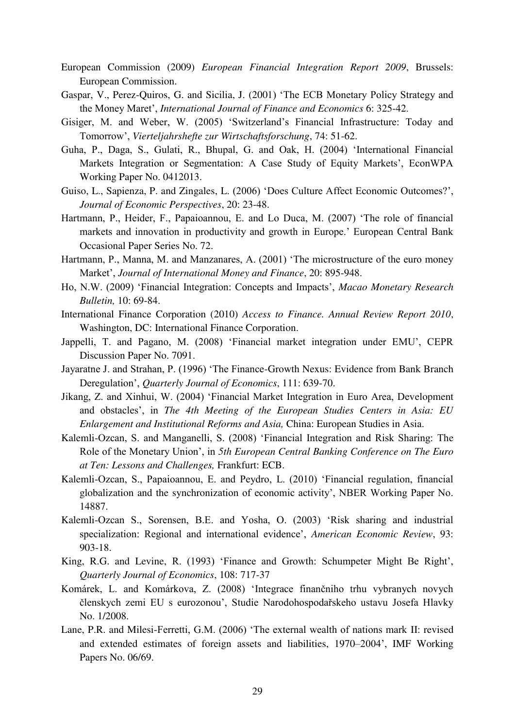- European Commission (2009) *European Financial Integration Report 2009*, Brussels: European Commission.
- Gaspar, V., Perez-Quiros, G. and Sicilia, J. (2001) "The ECB Monetary Policy Strategy and the Money Maret", *International Journal of Finance and Economics* 6: 325-42.
- Gisiger, M. and Weber, W. (2005) "Switzerland"s Financial Infrastructure: Today and Tomorrow", *Vierteljahrshefte zur Wirtschaftsforschung*, 74: 51-62.
- Guha, P., Daga, S., Gulati, R., Bhupal, G. and Oak, H. (2004) "International Financial Markets Integration or Segmentation: A Case Study of Equity Markets', EconWPA Working Paper No. 0412013.
- Guiso, L., Sapienza, P. and Zingales, L. (2006) "Does Culture Affect Economic Outcomes?", *Journal of Economic Perspectives*, 20: 23-48.
- Hartmann, P., Heider, F., Papaioannou, E. and Lo Duca, M. (2007) "The role of financial markets and innovation in productivity and growth in Europe." European Central Bank Occasional Paper Series No. 72.
- Hartmann, P., Manna, M. and Manzanares, A. (2001) "The microstructure of the euro money Market", *Journal of International Money and Finance*, 20: 895-948.
- Ho, N.W. (2009) "Financial Integration: Concepts and Impacts", *Macao Monetary Research Bulletin,* 10: 69-84.
- International Finance Corporation (2010) *Access to Finance. Annual Review Report 2010*, Washington, DC: International Finance Corporation.
- Jappelli, T. and Pagano, M. (2008) 'Financial market integration under EMU'. CEPR Discussion Paper No. 7091.
- Jayaratne J. and Strahan, P. (1996) "The Finance-Growth Nexus: Evidence from Bank Branch Deregulation", *Quarterly Journal of Economics*, 111: 639-70.
- Jikang, Z. and Xinhui, W. (2004) "Financial Market Integration in Euro Area, Development and obstacles", in *The 4th Meeting of the European Studies Centers in Asia: EU Enlargement and Institutional Reforms and Asia,* China: European Studies in Asia.
- Kalemli-Ozcan, S. and Manganelli, S. (2008) "Financial Integration and Risk Sharing: The Role of the Monetary Union", in *5th European Central Banking Conference on The Euro at Ten: Lessons and Challenges,* Frankfurt: ECB.
- Kalemli-Ozcan, S., Papaioannou, E. and Peydro, L. (2010) "Financial regulation, financial globalization and the synchronization of economic activity", NBER Working Paper No. 14887.
- Kalemli-Ozcan S., Sorensen, B.E. and Yosha, O. (2003) "Risk sharing and industrial specialization: Regional and international evidence', *American Economic Review*, 93: 903-18.
- King, R.G. and Levine, R. (1993) 'Finance and Growth: Schumpeter Might Be Right', *Quarterly Journal of Economics*, 108: 717-37
- Komárek, L. and Komárkova, Z. (2008) "Integrace finančniho trhu vybranych novych členskych zemi EU s eurozonou", Studie Narodohospodařskeho ustavu Josefa Hlavky No. 1/2008.
- Lane, P.R. and Milesi-Ferretti, G.M. (2006) "The external wealth of nations mark II: revised and extended estimates of foreign assets and liabilities, 1970–2004", IMF Working Papers No. 06/69.